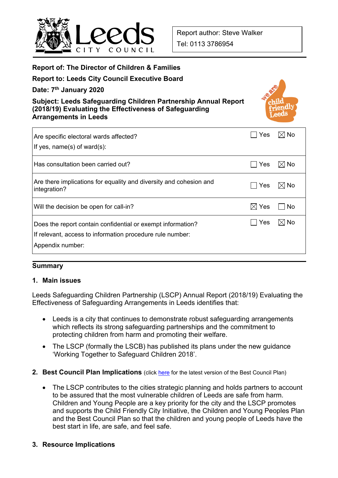

## **Report of: The Director of Children & Families**

## **Report to: Leeds City Council Executive Board**

**Date: 7th January 2020** 

**Subject: Leeds Safeguarding Children Partnership Annual Report (2018/19) Evaluating the Effectiveness of Safeguarding Arrangements in Leeds** 



| Are specific electoral wards affected?<br>If yes, $name(s)$ of ward $(s)$ :                                                                  | Yes             | ⊠l No          |
|----------------------------------------------------------------------------------------------------------------------------------------------|-----------------|----------------|
| Has consultation been carried out?                                                                                                           | <b>Yes</b>      | $\boxtimes$ No |
| Are there implications for equality and diversity and cohesion and<br>integration?                                                           | Yes             | $\boxtimes$ No |
| Will the decision be open for call-in?                                                                                                       | $\boxtimes$ Yes | . No           |
| Does the report contain confidential or exempt information?<br>If relevant, access to information procedure rule number:<br>Appendix number: | Yes             | I⊠ No          |

#### **Summary**

#### **1. Main issues**

Leeds Safeguarding Children Partnership (LSCP) Annual Report (2018/19) Evaluating the Effectiveness of Safeguarding Arrangements in Leeds identifies that:

- Leeds is a city that continues to demonstrate robust safeguarding arrangements which reflects its strong safeguarding partnerships and the commitment to protecting children from harm and promoting their welfare.
- The LSCP (formally the LSCB) has published its plans under the new quidance 'Working Together to Safeguard Children 2018'.
- **2. Best Council Plan Implications** (click here for the latest version of the Best Council Plan)
	- The LSCP contributes to the cities strategic planning and holds partners to account to be assured that the most vulnerable children of Leeds are safe from harm. Children and Young People are a key priority for the city and the LSCP promotes and supports the Child Friendly City Initiative, the Children and Young Peoples Plan and the Best Council Plan so that the children and young people of Leeds have the best start in life, are safe, and feel safe.
- **3. Resource Implications**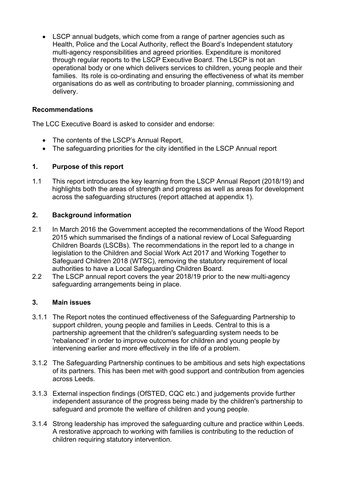• LSCP annual budgets, which come from a range of partner agencies such as Health, Police and the Local Authority, reflect the Board's Independent statutory multi-agency responsibilities and agreed priorities. Expenditure is monitored through regular reports to the LSCP Executive Board. The LSCP is not an operational body or one which delivers services to children, young people and their families. Its role is co-ordinating and ensuring the effectiveness of what its member organisations do as well as contributing to broader planning, commissioning and delivery.

## **Recommendations**

The LCC Executive Board is asked to consider and endorse:

- The contents of the LSCP's Annual Report,
- The safeguarding priorities for the city identified in the LSCP Annual report

## **1. Purpose of this report**

1.1 This report introduces the key learning from the LSCP Annual Report (2018/19) and highlights both the areas of strength and progress as well as areas for development across the safeguarding structures (report attached at appendix 1).

## **2. Background information**

- 2.1 In March 2016 the Government accepted the recommendations of the Wood Report 2015 which summarised the findings of a national review of Local Safeguarding Children Boards (LSCBs). The recommendations in the report led to a change in legislation to the Children and Social Work Act 2017 and Working Together to Safeguard Children 2018 (WTSC), removing the statutory requirement of local authorities to have a Local Safeguarding Children Board.
- 2.2 The LSCP annual report covers the year 2018/19 prior to the new multi-agency safeguarding arrangements being in place.

### **3. Main issues**

- 3.1.1 The Report notes the continued effectiveness of the Safeguarding Partnership to support children, young people and families in Leeds. Central to this is a partnership agreement that the children's safeguarding system needs to be 'rebalanced' in order to improve outcomes for children and young people by intervening earlier and more effectively in the life of a problem.
- 3.1.2 The Safeguarding Partnership continues to be ambitious and sets high expectations of its partners. This has been met with good support and contribution from agencies across Leeds.
- 3.1.3 External inspection findings (OfSTED, CQC etc.) and judgements provide further independent assurance of the progress being made by the children's partnership to safeguard and promote the welfare of children and young people.
- 3.1.4 Strong leadership has improved the safeguarding culture and practice within Leeds. A restorative approach to working with families is contributing to the reduction of children requiring statutory intervention.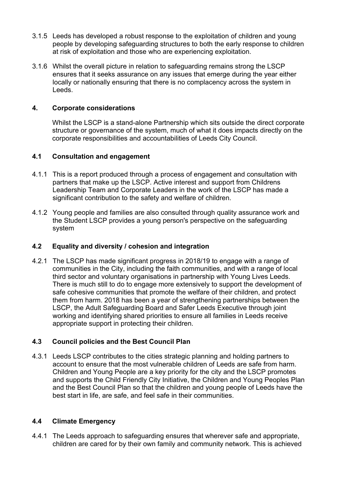- 3.1.5 Leeds has developed a robust response to the exploitation of children and young people by developing safeguarding structures to both the early response to children at risk of exploitation and those who are experiencing exploitation.
- 3.1.6 Whilst the overall picture in relation to safeguarding remains strong the LSCP ensures that it seeks assurance on any issues that emerge during the year either locally or nationally ensuring that there is no complacency across the system in Leeds.

## **4. Corporate considerations**

 Whilst the LSCP is a stand-alone Partnership which sits outside the direct corporate structure or governance of the system, much of what it does impacts directly on the corporate responsibilities and accountabilities of Leeds City Council.

## **4.1 Consultation and engagement**

- 4.1.1 This is a report produced through a process of engagement and consultation with partners that make up the LSCP. Active interest and support from Childrens Leadership Team and Corporate Leaders in the work of the LSCP has made a significant contribution to the safety and welfare of children.
- 4.1.2 Young people and families are also consulted through quality assurance work and the Student LSCP provides a young person's perspective on the safeguarding system

## **4.2 Equality and diversity / cohesion and integration**

4.2.1 The LSCP has made significant progress in 2018/19 to engage with a range of communities in the City, including the faith communities, and with a range of local third sector and voluntary organisations in partnership with Young Lives Leeds. There is much still to do to engage more extensively to support the development of safe cohesive communities that promote the welfare of their children, and protect them from harm. 2018 has been a year of strengthening partnerships between the LSCP, the Adult Safeguarding Board and Safer Leeds Executive through joint working and identifying shared priorities to ensure all families in Leeds receive appropriate support in protecting their children.

## **4.3 Council policies and the Best Council Plan**

4.3.1 Leeds LSCP contributes to the cities strategic planning and holding partners to account to ensure that the most vulnerable children of Leeds are safe from harm. Children and Young People are a key priority for the city and the LSCP promotes and supports the Child Friendly City Initiative, the Children and Young Peoples Plan and the Best Council Plan so that the children and young people of Leeds have the best start in life, are safe, and feel safe in their communities.

#### **4.4 Climate Emergency**

4.4.1 The Leeds approach to safeguarding ensures that wherever safe and appropriate, children are cared for by their own family and community network. This is achieved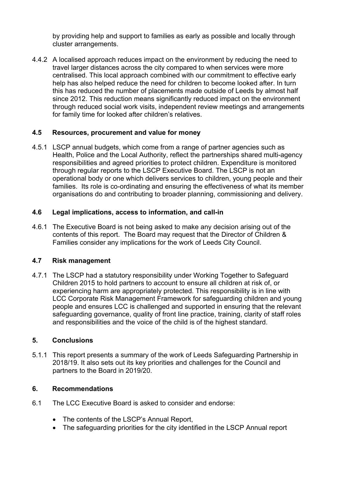by providing help and support to families as early as possible and locally through cluster arrangements.

4.4.2 A localised approach reduces impact on the environment by reducing the need to travel larger distances across the city compared to when services were more centralised. This local approach combined with our commitment to effective early help has also helped reduce the need for children to become looked after. In turn this has reduced the number of placements made outside of Leeds by almost half since 2012. This reduction means significantly reduced impact on the environment through reduced social work visits, independent review meetings and arrangements for family time for looked after children's relatives.

## **4.5 Resources, procurement and value for money**

4.5.1 LSCP annual budgets, which come from a range of partner agencies such as Health, Police and the Local Authority, reflect the partnerships shared multi-agency responsibilities and agreed priorities to protect children. Expenditure is monitored through regular reports to the LSCP Executive Board. The LSCP is not an operational body or one which delivers services to children, young people and their families. Its role is co-ordinating and ensuring the effectiveness of what its member organisations do and contributing to broader planning, commissioning and delivery.

## **4.6 Legal implications, access to information, and call-in**

4.6.1 The Executive Board is not being asked to make any decision arising out of the contents of this report. The Board may request that the Director of Children & Families consider any implications for the work of Leeds City Council.

#### **4.7 Risk management**

4.7.1 The LSCP had a statutory responsibility under Working Together to Safeguard Children 2015 to hold partners to account to ensure all children at risk of, or experiencing harm are appropriately protected. This responsibility is in line with LCC Corporate Risk Management Framework for safeguarding children and young people and ensures LCC is challenged and supported in ensuring that the relevant safeguarding governance, quality of front line practice, training, clarity of staff roles and responsibilities and the voice of the child is of the highest standard.

#### **5. Conclusions**

5.1.1 This report presents a summary of the work of Leeds Safeguarding Partnership in 2018/19. It also sets out its key priorities and challenges for the Council and partners to the Board in 2019/20.

### **6. Recommendations**

- 6.1 The LCC Executive Board is asked to consider and endorse:
	- The contents of the LSCP's Annual Report,
	- The safeguarding priorities for the city identified in the LSCP Annual report